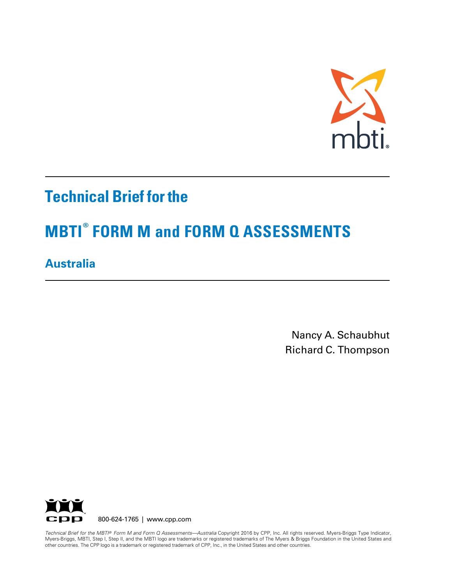

## **Technical Brief for the**

# **MBTI® FORM M and FORM Q ASSESSMENTS**

## **Australia**

Nancy A. Schaubhut Richard C. Thompson



other countries. The CPP logo is a trademark or registered trademark of CPP, Inc., in the United States and other countries. *Technical Brief for the MBTI® Form M and Form Q Assessments—Australia* Copyright 2016 by CPP, Inc. All rights reserved. Myers-Briggs Type Indicator, Myers-Briggs, MBTI, Step I, Step II, and the MBTI logo are trademarks or registered trademarks of The Myers & Briggs Foundation in the United States and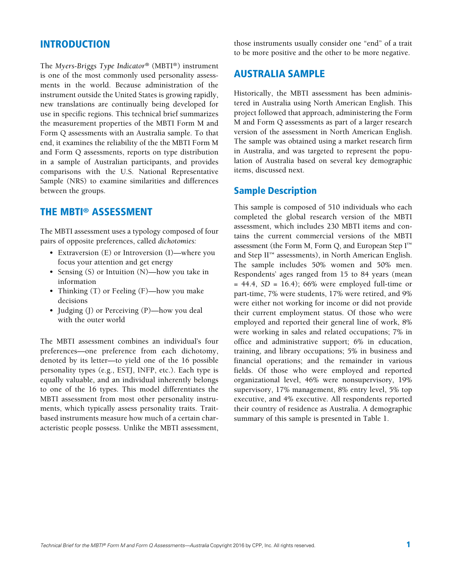### INTRODUCTION

The *Myers-Briggs Type Indicator®* (MBTI®) instrument is one of the most commonly used personality assessments in the world. Because administration of the instrument outside the United States is growing rapidly, new translations are continually being developed for use in specific regions. This technical brief summarizes the measurement properties of the MBTI Form M and Form Q assessments with an Australia sample. To that end, it examines the reliability of the the MBTI Form M and Form Q assessments, reports on type distribution in a sample of Australian participants, and provides comparisons with the U.S. National Representative Sample (NRS) to examine similarities and differences between the groups.

## THE MBTI® ASSESSMENT

The MBTI assessment uses a typology composed of four pairs of opposite preferences, called *dichotomies:*

- Extraversion (E) or Introversion (I)—where you focus your attention and get energy
- Sensing (S) or Intuition (N)—how you take in information
- Thinking (T) or Feeling (F)—how you make decisions
- Judging (J) or Perceiving (P)—how you deal with the outer world

The MBTI assessment combines an individual's four preferences—one preference from each dichotomy, denoted by its letter—to yield one of the 16 possible personality types (e.g., ESTJ, INFP, etc.). Each type is equally valuable, and an individual inherently belongs to one of the 16 types. This model differentiates the MBTI assessment from most other personality instruments, which typically assess personality traits. Traitbased instruments measure how much of a certain characteristic people possess. Unlike the MBTI assessment,

those instruments usually consider one "end" of a trait to be more positive and the other to be more negative.

## AUSTRALIA SAMPLE

Historically, the MBTI assessment has been administered in Australia using North American English. This project followed that approach, administering the Form M and Form Q assessments as part of a larger research version of the assessment in North American English. The sample was obtained using a market research firm in Australia, and was targeted to represent the population of Australia based on several key demographic items, discussed next.

### Sample Description

This sample is composed of 510 individuals who each completed the global research version of the MBTI assessment, which includes 230 MBTI items and contains the current commercial versions of the MBTI assessment (the Form M, Form Q, and European Step  $I^{\text{m}}$ and Step II™ assessments), in North American English. The sample includes 50% women and 50% men. Respondents' ages ranged from 15 to 84 years (mean = 44.4, *SD* = 16.4); 66% were employed full-time or part-time, 7% were students, 17% were retired, and 9% were either not working for income or did not provide their current employment status. Of those who were employed and reported their general line of work, 8% were working in sales and related occupations; 7% in office and administrative support; 6% in education, training, and library occupations; 5% in business and financial operations; and the remainder in various fields. Of those who were employed and reported organizational level, 46% were nonsupervisory, 19% supervisory, 17% management, 8% entry level, 5% top executive, and 4% executive. All respondents reported their country of residence as Australia. A demographic summary of this sample is presented in Table 1.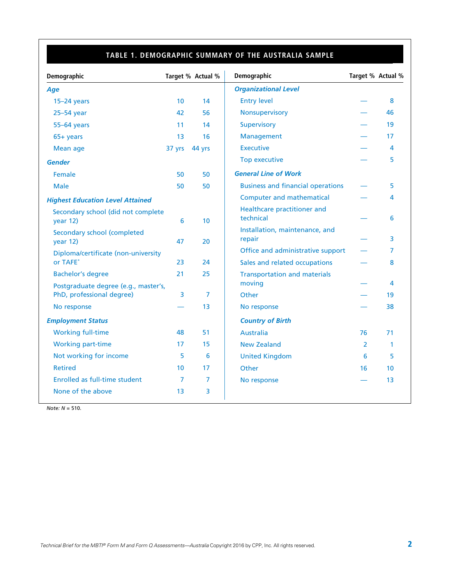## **TABLE 1. DEMOGRAPHIC SUMMARY OF THE AUSTRALIA SAMPLE**

| Demographic                                    |        | Target % Actual % | Demographic                              |    | Target % Actual % |
|------------------------------------------------|--------|-------------------|------------------------------------------|----|-------------------|
| Age                                            |        |                   | <b>Organizational Level</b>              |    |                   |
| $15-24$ years                                  | 10     | 14                | <b>Entry level</b>                       |    | 8                 |
| 25-54 year                                     | 42     | 56                | Nonsupervisory                           |    | 46                |
| 55-64 years                                    | 11     | 14                | <b>Supervisory</b>                       |    | 19                |
| $65+$ years                                    | 13     | 16                | Management                               |    | 17                |
| Mean age                                       | 37 yrs | 44 yrs            | <b>Executive</b>                         |    | 4                 |
| <b>Gender</b>                                  |        |                   | <b>Top executive</b>                     |    | 5                 |
| Female                                         | 50     | 50                | <b>General Line of Work</b>              |    |                   |
| <b>Male</b>                                    | 50     | 50                | <b>Business and financial operations</b> |    | 5                 |
| <b>Highest Education Level Attained</b>        |        |                   | <b>Computer and mathematical</b>         |    | 4                 |
| Secondary school (did not complete<br>year 12) | 6      | 10                | Healthcare practitioner and<br>technical |    | 6                 |
| Secondary school (completed<br>year 12)        | 47     | 20                | Installation, maintenance, and<br>repair |    | 3                 |
| Diploma/certificate (non-university            |        |                   | Office and administrative support        |    | 7                 |
| or TAFE*                                       | 23     | 24                | Sales and related occupations            |    | 8                 |
| <b>Bachelor's degree</b>                       | 21     | 25                | <b>Transportation and materials</b>      |    |                   |
| Postgraduate degree (e.g., master's,           |        |                   | moving                                   |    | 4                 |
| PhD, professional degree)                      | 3      | 7                 | Other                                    |    | 19                |
| No response                                    |        | 13 <sup>°</sup>   | No response                              |    | 38                |
| <b>Employment Status</b>                       |        |                   | <b>Country of Birth</b>                  |    |                   |
| <b>Working full-time</b>                       | 48     | 51                | <b>Australia</b>                         | 76 | 71                |
| <b>Working part-time</b>                       | 17     | 15                | <b>New Zealand</b>                       | 2  | $\mathbf{1}$      |
| Not working for income                         | 5      | 6                 | <b>United Kingdom</b>                    | 6  | 5                 |
| <b>Retired</b>                                 | 10     | 17                | Other                                    | 16 | 10                |
| Enrolled as full-time student                  | 7      | 7                 | No response                              |    | 13                |
| None of the above                              | 13     | 3                 |                                          |    |                   |

*Note: N* = 510.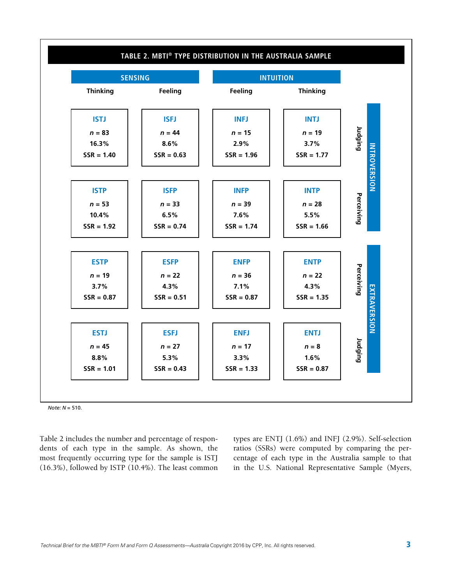

#### *Note: N* = 510.

Table 2 includes the number and percentage of respondents of each type in the sample. As shown, the most frequently occurring type for the sample is ISTJ (16.3%), followed by ISTP (10.4%). The least common types are ENTJ (1.6%) and INFJ (2.9%). Self-selection ratios (SSRs) were computed by comparing the percentage of each type in the Australia sample to that in the U.S. National Representative Sample (Myers,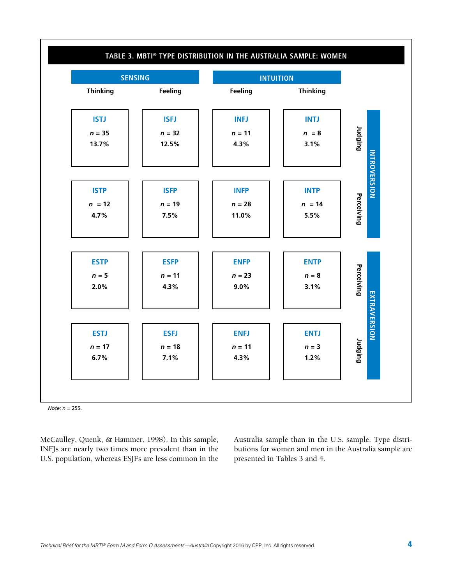

*Note: n =* 255.

McCaulley, Quenk, & Hammer, 1998). In this sample, INFJs are nearly two times more prevalent than in the U.S. population, whereas ESJFs are less common in the Australia sample than in the U.S. sample. Type distributions for women and men in the Australia sample are presented in Tables 3 and 4.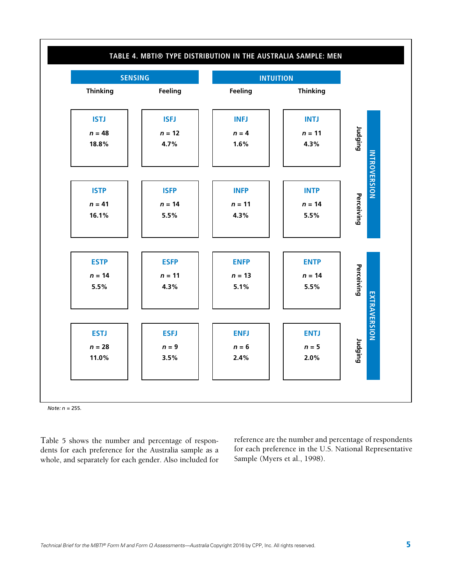

*Note: n =* 255.

Table 5 shows the number and percentage of respondents for each preference for the Australia sample as a whole, and separately for each gender. Also included for reference are the number and percentage of respondents for each preference in the U.S. National Representative Sample (Myers et al., 1998).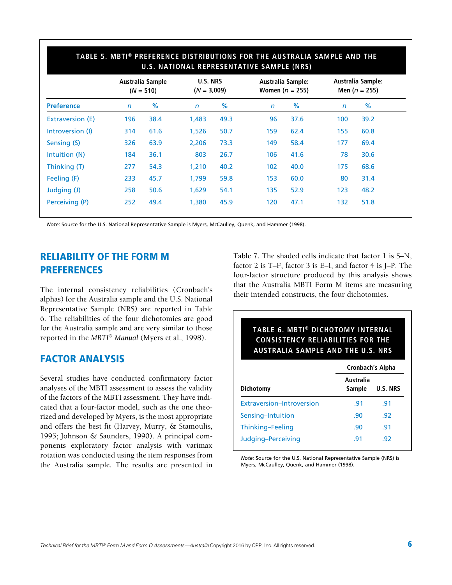|                   | Australia Sample<br>$(N = 510)$ |      | <b>U.S. NRS</b><br>$(N = 3,009)$ |      | <b>Australia Sample:</b><br>Women ( $n = 255$ ) |      | Australia Sample:<br>Men ( $n = 255$ ) |      |
|-------------------|---------------------------------|------|----------------------------------|------|-------------------------------------------------|------|----------------------------------------|------|
| <b>Preference</b> | $\mathsf{n}$                    | %    | $\mathsf{n}$                     | %    | $\mathsf{n}$                                    | %    | $\mathsf{n}$                           | %    |
| Extraversion (E)  | 196                             | 38.4 | 1,483                            | 49.3 | 96                                              | 37.6 | 100                                    | 39.2 |
| Introversion (I)  | 314                             | 61.6 | 1,526                            | 50.7 | 159                                             | 62.4 | 155                                    | 60.8 |
| Sensing (S)       | 326                             | 63.9 | 2,206                            | 73.3 | 149                                             | 58.4 | 177                                    | 69.4 |
| Intuition (N)     | 184                             | 36.1 | 803                              | 26.7 | 106                                             | 41.6 | 78                                     | 30.6 |
| Thinking (T)      | 277                             | 54.3 | 1,210                            | 40.2 | 102                                             | 40.0 | 175                                    | 68.6 |
| Feeling (F)       | 233                             | 45.7 | 1,799                            | 59.8 | 153                                             | 60.0 | 80                                     | 31.4 |
| Judging (J)       | 258                             | 50.6 | 1,629                            | 54.1 | 135                                             | 52.9 | 123                                    | 48.2 |
| Perceiving (P)    | 252                             | 49.4 | 1,380                            | 45.9 | 120                                             | 47.1 | 132 <sub>1</sub>                       | 51.8 |

## **TABLE 5. MBTI® PREFERENCE DISTRIBUTIONS FOR THE AUSTRALIA SAMPLE AND THE**

*Note:* Source for the U.S. National Representative Sample is Myers, McCaulley, Quenk, and Hammer (1998).

## RELIABILITY OF THE FORM M PREFERENCES

The internal consistency reliabilities (Cronbach's alphas) for the Australia sample and the U.S. National Representative Sample (NRS) are reported in Table 6. The reliabilities of the four dichotomies are good for the Australia sample and are very similar to those reported in the *MBTI*® *Manual* (Myers et al., 1998).

## FACTOR ANALYSIS

Several studies have conducted confirmatory factor analyses of the MBTI assessment to assess the validity of the factors of the MBTI assessment. They have indicated that a four-factor model, such as the one theorized and developed by Myers, is the most appropriate and offers the best fit (Harvey, Murry, & Stamoulis, 1995; Johnson & Saunders, 1990). A principal components exploratory factor analysis with varimax rotation was conducted using the item responses from the Australia sample. The results are presented in Table 7. The shaded cells indicate that factor 1 is S–N, factor 2 is T–F, factor 3 is E–I, and factor 4 is J–P. The four-factor structure produced by this analysis shows that the Australia MBTI Form M items are measuring their intended constructs, the four dichotomies.

| TABLE 6. MBTI® DICHOTOMY INTERNAL<br><b>CONSISTENCY RELIABILITIES FOR THE</b><br><b>AUSTRALIA SAMPLE AND THE U.S. NRS</b> |                               |                 |  |  |  |  |  |
|---------------------------------------------------------------------------------------------------------------------------|-------------------------------|-----------------|--|--|--|--|--|
|                                                                                                                           | Cronbach's Alpha<br>Australia |                 |  |  |  |  |  |
| Dichotomy                                                                                                                 | Sample                        | <b>U.S. NRS</b> |  |  |  |  |  |
| Extraversion-Introversion                                                                                                 | .91                           | .91             |  |  |  |  |  |
| Sensing-Intuition                                                                                                         | .90                           | .92             |  |  |  |  |  |
| Thinking-Feeling                                                                                                          | .90                           | .91             |  |  |  |  |  |
| Judging-Perceiving                                                                                                        | .91                           | -92             |  |  |  |  |  |

*Note:* Source for the U.S. National Representative Sample (NRS) is Myers, McCaulley, Quenk, and Hammer (1998).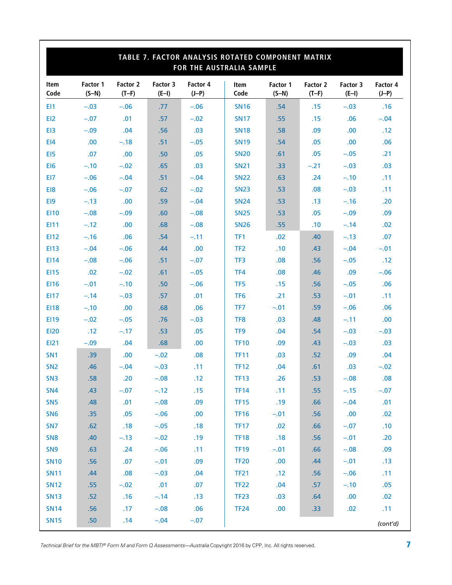|                 | TABLE 7. FACTOR ANALYSIS ROTATED COMPONENT MATRIX<br>FOR THE AUSTRALIA SAMPLE |                            |                     |                     |                     |                     |                     |                     |                     |
|-----------------|-------------------------------------------------------------------------------|----------------------------|---------------------|---------------------|---------------------|---------------------|---------------------|---------------------|---------------------|
| Item<br>Code    | Factor 1<br>$(S-N)$                                                           | <b>Factor 2</b><br>$(T-F)$ | Factor 3<br>$(E-I)$ | Factor 4<br>$(J-P)$ | <b>Item</b><br>Code | Factor 1<br>$(S-N)$ | Factor 2<br>$(T-F)$ | Factor 3<br>$(E-I)$ | Factor 4<br>$(J-P)$ |
| EI1             | $-.03$                                                                        | $-.06$                     | .77                 | $-.06$              | <b>SN16</b>         | .54                 | .15                 | $-.03$              | .16                 |
| EI <sub>2</sub> | $-.07$                                                                        | .01                        | .57                 | $-.02$              | <b>SN17</b>         | .55                 | .15                 | .06                 | $-.04$              |
| EI3             | $-.09$                                                                        | .04                        | .56                 | .03                 | <b>SN18</b>         | .58                 | .09                 | .00                 | .12                 |
| E <sub>14</sub> | .00.                                                                          | $-.18$                     | .51                 | $-.05$              | <b>SN19</b>         | .54                 | .05                 | .00                 | .06                 |
| E <sub>15</sub> | .07                                                                           | .00                        | .50                 | .05                 | <b>SN20</b>         | .61                 | .05                 | $-.05$              | .21                 |
| EI <sub>6</sub> | $-.10$                                                                        | $-.02$                     | .65                 | .03                 | <b>SN21</b>         | .33                 | $-.21$              | $-.03$              | .03                 |
| EI7             | $-.06$                                                                        | $-.04$                     | .51                 | $-.04$              | <b>SN22</b>         | .63                 | .24                 | $-.10$              | .11                 |
| E <sub>18</sub> | $-.06$                                                                        | $-.07$                     | .62                 | $-.02$              | <b>SN23</b>         | .53                 | .08                 | $-.03$              | .11                 |
| E <sub>19</sub> | $-.13$                                                                        | .00                        | .59                 | $-.04$              | <b>SN24</b>         | .53                 | .13                 | $-.16$              | .20                 |
| <b>EI10</b>     | $-.08$                                                                        | $-.09$                     | .60                 | $-.08$              | <b>SN25</b>         | .53                 | .05                 | $-.09$              | .09                 |
| E111            | $-.12$                                                                        | .00.                       | .68                 | $-.08$              | <b>SN26</b>         | .55                 | .10                 | $-.14$              | .02                 |
| EI12            | $-.16$                                                                        | .06                        | .54                 | $-.11$              | TF <sub>1</sub>     | .02                 | .40                 | $-.13$              | .07                 |
| <b>EI13</b>     | $-.04$                                                                        | $-.06$                     | .44                 | .00                 | TF <sub>2</sub>     | .10                 | .43                 | $-.04$              | $-.01$              |
| E114            | $-.08$                                                                        | $-.06$                     | .51                 | $-.07$              | TF3                 | .08                 | .56                 | $-.05$              | .12                 |
| <b>EI15</b>     | .02                                                                           | $-.02$                     | .61                 | $-.05$              | TF4                 | .08                 | .46                 | .09                 | $-.06$              |
| <b>EI16</b>     | $-.01$                                                                        | $-.10$                     | .50                 | $-.06$              | TF <sub>5</sub>     | .15                 | .56                 | $-.05$              | .06                 |
| E117            | $-.14$                                                                        | $-.03$                     | .57                 | .01                 | TF <sub>6</sub>     | .21                 | .53                 | $-.01$              | .11                 |
| <b>EI18</b>     | $-.10$                                                                        | .00                        | .68                 | .06                 | TF7                 | $-.01$              | .59                 | $-.06$              | .06                 |
| E119            | $-.02$                                                                        | $-.05$                     | .76                 | $-.03$              | TF <sub>8</sub>     | .03                 | .48                 | $-.11$              | .00                 |
| <b>EI20</b>     | .12                                                                           | $-.17$                     | .53                 | .05                 | TF <sub>9</sub>     | .04                 | .54                 | $-.03$              | $-.03$              |
| <b>EI21</b>     | $-.09$                                                                        | .04                        | .68                 | .00                 | <b>TF10</b>         | .09                 | .43                 | $-.03$              | .03                 |
| SN <sub>1</sub> | .39                                                                           | .00                        | $-.02$              | .08                 | <b>TF11</b>         | .03                 | .52                 | .09                 | .04                 |
| SN <sub>2</sub> | .46                                                                           | $-.04$                     | $-.03$              | .11                 | <b>TF12</b>         | .04                 | .61                 | .03                 | $-.02$              |
| SN <sub>3</sub> | .58                                                                           | .20                        | $-.08$              | .12                 | <b>TF13</b>         | .26                 | .53                 | $-.08$              | .08                 |
| <b>SN4</b>      | .43                                                                           | $-.07$                     | $-.12$              | .15                 | <b>TF14</b>         | .11                 | .55                 | $-.15$              | $-.07$              |
| SN <sub>5</sub> | .48                                                                           | .01                        | $-.08$              | .09                 | <b>TF15</b>         | .19                 | .66                 | $-.04$              | .01                 |
| SN <sub>6</sub> | .35                                                                           | .05                        | $-.06$              | .00                 | <b>TF16</b>         | $-.01$              | .56                 | .00                 | .02                 |
| SN <sub>7</sub> | .62                                                                           | .18                        | $-.05$              | .18                 | <b>TF17</b>         | .02                 | .66                 | $-.07$              | .10                 |
| SN <sub>8</sub> | .40                                                                           | $-.13$                     | $-.02$              | .19                 | <b>TF18</b>         | .18                 | .56                 | $-.01$              | .20                 |
| SN <sub>9</sub> | .63                                                                           | .24                        | $-.06$              | .11                 | <b>TF19</b>         | $-.01$              | .66                 | $-.08$              | .09                 |
| <b>SN10</b>     | .56                                                                           | .07                        | $-.01$              | .09                 | <b>TF20</b>         | .00                 | .44                 | $-.01$              | .13                 |
| <b>SN11</b>     | .44                                                                           | .08                        | $-.03$              | .04                 | <b>TF21</b>         | .12                 | .56                 | $-.06$              | .11                 |
| <b>SN12</b>     | .55                                                                           | $-.02$                     | .01                 | .07                 | <b>TF22</b>         | .04                 | .57                 | $-.10$              | .05                 |
| <b>SN13</b>     | .52                                                                           | .16                        | $-.14$              | .13                 | TF <sub>23</sub>    | .03                 | .64                 | .00                 | .02                 |
| <b>SN14</b>     | .56                                                                           | .17                        | $-.08$              | .06                 | <b>TF24</b>         | .00                 | .33                 | .02                 | .11                 |
| <b>SN15</b>     | .50                                                                           | .14                        | $-.04$              | $-.07$              |                     |                     |                     |                     | (cont'd)            |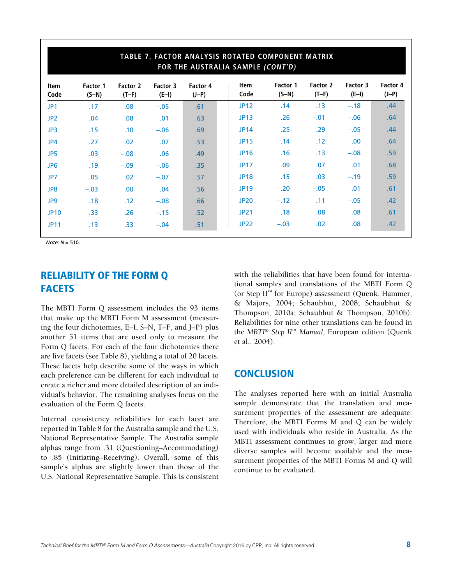|                     | TABLE 7. FACTOR ANALYSIS ROTATED COMPONENT MATRIX<br>FOR THE AUSTRALIA SAMPLE (CONT'D) |                            |                     |                     |                     |                            |                     |                     |                     |  |
|---------------------|----------------------------------------------------------------------------------------|----------------------------|---------------------|---------------------|---------------------|----------------------------|---------------------|---------------------|---------------------|--|
| <b>Item</b><br>Code | <b>Factor 1</b><br>$(S-N)$                                                             | <b>Factor 2</b><br>$(T-F)$ | Factor 3<br>$(E-I)$ | Factor 4<br>$(J-P)$ | <b>Item</b><br>Code | <b>Factor 1</b><br>$(S-N)$ | Factor 2<br>$(T-F)$ | Factor 3<br>$(E-I)$ | Factor 4<br>$(J-P)$ |  |
| JP1                 | .17                                                                                    | .08 <sub>0</sub>           | $-.05$              | .61                 | <b>JP12</b>         | .14                        | .13                 | $-.18$              | .44                 |  |
| JP <sub>2</sub>     | .04                                                                                    | .08                        | .01                 | .63                 | <b>JP13</b>         | .26                        | $-.01$              | $-.06$              | .64                 |  |
| JP3                 | .15                                                                                    | .10                        | $-.06$              | .69                 | <b>JP14</b>         | .25                        | .29                 | $-.05$              | .44                 |  |
| JP4                 | .27                                                                                    | .02                        | .07                 | .53                 | <b>JP15</b>         | .14                        | .12                 | .00                 | .64                 |  |
| JP5                 | .03                                                                                    | $-.08$                     | .06                 | .49                 | <b>JP16</b>         | .16                        | .13                 | $-.08$              | .59                 |  |
| JP <sub>6</sub>     | .19                                                                                    | $-.09$                     | $-.06$              | .35                 | <b>JP17</b>         | .09                        | .07                 | .01                 | .68                 |  |
| JP7                 | .05                                                                                    | .02                        | $-.07$              | .57                 | <b>JP18</b>         | .15                        | .03                 | $-.19$              | .59                 |  |
| JP8                 | $-.03$                                                                                 | .00.                       | .04                 | .56                 | <b>JP19</b>         | .20                        | $-.05$              | .01                 | .61                 |  |
| JP9                 | .18                                                                                    | .12                        | $-.08$              | .66                 | <b>JP20</b>         | $-.12$                     | .11                 | $-.05$              | .42                 |  |
| <b>JP10</b>         | .33 <sub>1</sub>                                                                       | .26                        | $-.15$              | .52                 | <b>JP21</b>         | .18                        | .08                 | .08                 | .61                 |  |
| <b>JP11</b>         | .13                                                                                    | .33                        | $-.04$              | .51                 | <b>JP22</b>         | $-.03$                     | .02                 | .08                 | .42                 |  |

*Note: N* = 510.

## RELIABILITY OF THE FORM Q **FACETS**

The MBTI Form Q assessment includes the 93 items that make up the MBTI Form M assessment (measuring the four dichotomies, E–I, S–N, T–F, and J–P) plus another 51 items that are used only to measure the Form Q facets. For each of the four dichotomies there are five facets (see Table 8), yielding a total of 20 facets. These facets help describe some of the ways in which each preference can be different for each individual to create a richer and more detailed description of an individual's behavior. The remaining analyses focus on the evaluation of the Form Q facets.

Internal consistency reliabilities for each facet are reported in Table 8 for the Australia sample and the U.S. National Representative Sample. The Australia sample alphas range from .31 (Questioning–Accommodating) to .85 (Initiating–Receiving). Overall, some of this sample's alphas are slightly lower than those of the U.S. National Representative Sample. This is consistent with the reliabilities that have been found for international samples and translations of the MBTI Form Q (or Step II™ for Europe) assessment (Quenk, Hammer, & Majors, 2004; Schaubhut, 2008; Schaubhut & Thompson, 2010a; Schaubhut & Thompson, 2010b). Reliabilities for nine other translations can be found in the *MBTI*® *Step II*™ *Manual,* European edition (Quenk et al., 2004).

## **CONCLUSION**

The analyses reported here with an initial Australia sample demonstrate that the translation and measurement properties of the assessment are adequate. Therefore, the MBTI Forms M and Q can be widely used with individuals who reside in Australia. As the MBTI assessment continues to grow, larger and more diverse samples will become available and the measurement properties of the MBTI Forms M and Q will continue to be evaluated.